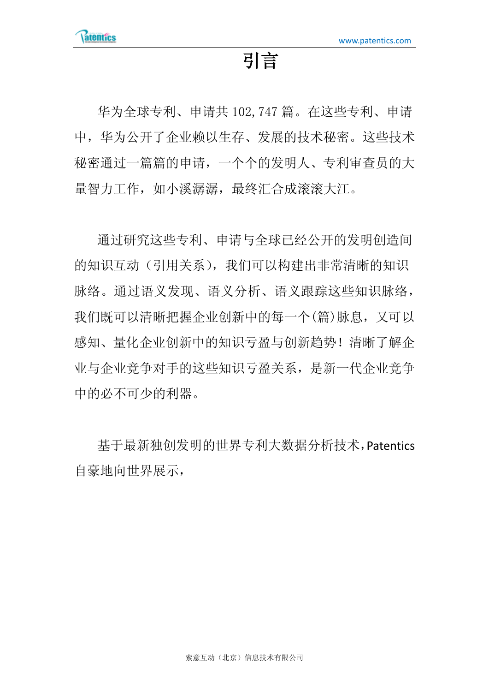## 引言

华为全球专利、申请共 102,747 篇。在这些专利、申请 中,华为公开了企业赖以生存、发展的技术秘密。这些技术 秘密通过一篇篇的申请,一个个的发明人、专利审查员的大 量智力工作,如小溪潺潺,最终汇合成滚滚大江。

通过研究这些专利、申请与全球已经公开的发明创造间 的知识互动(引用关系),我们可以构建出非常清晰的知识 脉络。通过语义发现、语义分析、语义跟踪这些知识脉络, 我们既可以清晰把握企业创新中的每一个(篇)脉息,又可以 感知、量化企业创新中的知识亏盈与创新趋势!清晰了解企 业与企业竞争对手的这些知识亏盈关系,是新一代企业竞争 中的必不可少的利器。

基于最新独创发明的世界专利大数据分析技术,Patentics 自豪地向世界展示,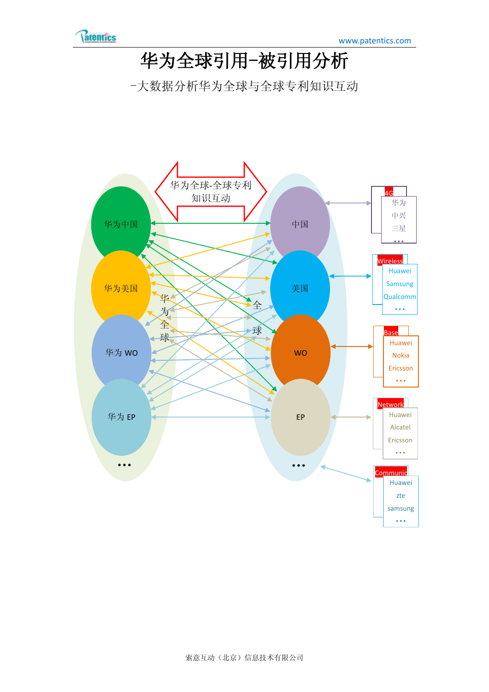

## 华为全球引用-被引用分析

-大数据分析华为全球与全球专利知识互动

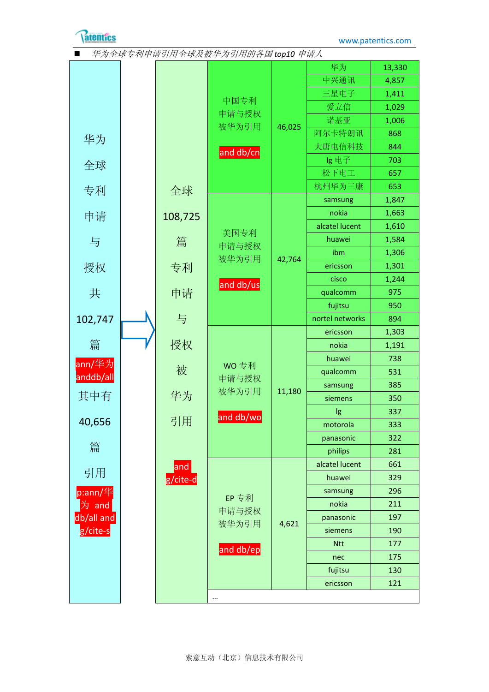

| 华为全球专利申请引用全球及被华为引用的各国 top10 申请人 |  |             |           |        |                 |        |
|---------------------------------|--|-------------|-----------|--------|-----------------|--------|
|                                 |  |             |           |        | 华为              | 13,330 |
|                                 |  |             |           |        | 中兴通讯            | 4,857  |
|                                 |  |             |           |        | 三星电子            | 1,411  |
|                                 |  |             | 中国专利      |        | 爱立信             | 1,029  |
|                                 |  |             | 申请与授权     |        | 诺基亚             | 1,006  |
| 华为                              |  |             | 被华为引用     | 46,025 | 阿尔卡特朗讯          | 868    |
|                                 |  |             | and db/cn |        | 大唐电信科技          | 844    |
| 全球                              |  |             |           |        | lg 电子           | 703    |
|                                 |  |             |           |        | 松下电工            | 657    |
| 专利                              |  | 全球          |           |        | 杭州华为三康          | 653    |
|                                 |  |             |           |        | samsung         | 1,847  |
| 申请                              |  | 108,725     |           |        | nokia           | 1,663  |
|                                 |  |             | 美国专利      |        | alcatel lucent  | 1,610  |
| 与                               |  | 篇           | 申请与授权     |        | huawei          | 1,584  |
|                                 |  |             | 被华为引用     | 42,764 | ibm             | 1,306  |
| 授权                              |  | 专利          |           |        | ericsson        | 1,301  |
|                                 |  |             | and db/us |        | cisco           | 1,244  |
| 共                               |  | 申请          |           |        | qualcomm        | 975    |
|                                 |  |             |           |        | fujitsu         | 950    |
| 102,747                         |  | 与           |           |        | nortel networks | 894    |
|                                 |  |             |           |        | ericsson        | 1,303  |
| 篇                               |  | 授权          |           |        | nokia           | 1,191  |
| ann/华为                          |  |             | WO 专利     |        | huawei          | 738    |
| anddb/all                       |  | 被           | 申请与授权     | 11,180 | qualcomm        | 531    |
|                                 |  |             | 被华为引用     |        | samsung         | 385    |
| 其中有                             |  | 华为          |           |        | siemens         | 350    |
|                                 |  |             | and db/wo |        | lg              | 337    |
| 40,656                          |  | 引用          |           |        | motorola        | 333    |
|                                 |  |             |           |        | panasonic       | 322    |
| 篇                               |  |             |           |        | philips         | 281    |
| 引用                              |  | $ $ and $ $ |           |        | alcatel lucent  | 661    |
|                                 |  | g/cite-d    |           |        | huawei          | 329    |
| $p:ann/\nmid \nmid$             |  |             | EP 专利     |        | samsung         | 296    |
| 为 and                           |  |             | 申请与授权     |        | nokia           | 211    |
| db/all and                      |  |             | 被华为引用     | 4,621  | panasonic       | 197    |
| g/cite-s                        |  |             |           |        | siemens         | 190    |
|                                 |  |             | and db/ep |        | <b>Ntt</b>      | 177    |
|                                 |  |             |           |        | nec             | 175    |
|                                 |  |             |           |        | fujitsu         | 130    |
|                                 |  |             |           |        | ericsson        | 121    |
|                                 |  |             |           |        |                 |        |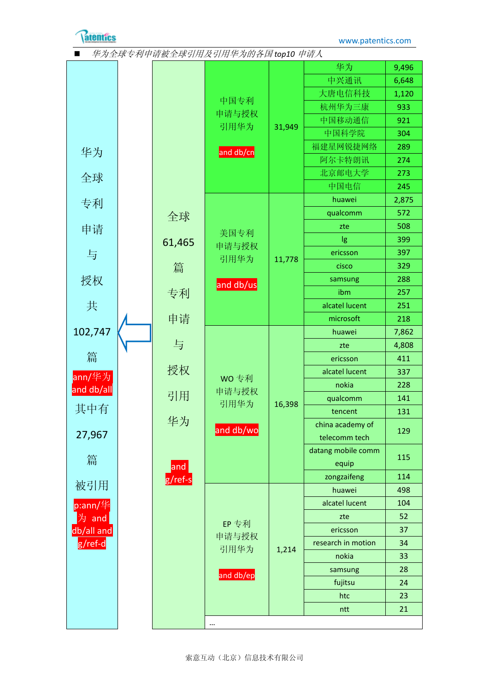

## ■ 华为全球专利申请被全球引用及引用华为的各国 top10 申请人 华为 全球 专利 申请 与 授权 共 [102,747](http://www.patentics.com/searchcn.htm?sq=ann/华为%20and%20db/all) [篇](http://www.patentics.com/searchcn.htm?sq=ann/华为%20and%20db/all) ann/[华为](http://www.patentics.com/searchcn.htm?sq=ann/华为%20and%20db/all) [and db/all](http://www.patentics.com/searchcn.htm?sq=ann/华为%20and%20db/all) 其中有 [27,967](http://www.patentics.com/searchcn.htm?sq=p:ann/华为%20and%20db/all%20and%20g/ref-d) [篇](http://www.patentics.com/searchcn.htm?sq=p:ann/华为%20and%20db/all%20and%20g/ref-d) [被引用](http://www.patentics.com/searchcn.htm?sq=p:ann/华为%20and%20db/all%20and%20g/ref-d) [p:ann/](http://www.patentics.com/searchcn.htm?sq=p:ann/华为%20and%20db/all%20and%20g/ref-d)华 为 [and](http://www.patentics.com/searchcn.htm?sq=p:ann/华为%20and%20db/all%20and%20g/ref-d)  [db/all and](http://www.patentics.com/searchcn.htm?sq=p:ann/华为%20and%20db/all%20and%20g/ref-d)  [g/ref-d](http://www.patentics.com/searchcn.htm?sq=p:ann/华为%20and%20db/all%20and%20g/ref-d) [全球](http://www.patentics.com/searchcn.htm?sq=p:ann/华为%20and%20db/all%20and%20g/ref-s) [61,465](http://www.patentics.com/searchcn.htm?sq=p:ann/华为%20and%20db/all%20and%20g/ref-s) [篇](http://www.patentics.com/searchcn.htm?sq=p:ann/华为%20and%20db/all%20and%20g/ref-s) [专利](http://www.patentics.com/searchcn.htm?sq=p:ann/华为%20and%20db/all%20and%20g/ref-s) [申请](http://www.patentics.com/searchcn.htm?sq=p:ann/华为%20and%20db/all%20and%20g/ref-s) [与](http://www.patentics.com/searchcn.htm?sq=p:ann/华为%20and%20db/all%20and%20g/ref-s) [授权](http://www.patentics.com/searchcn.htm?sq=p:ann/华为%20and%20db/all%20and%20g/ref-s) [引用](http://www.patentics.com/searchcn.htm?sq=p:ann/华为%20and%20db/all%20and%20g/ref-s) [华为](http://www.patentics.com/searchcn.htm?sq=p:ann/华为%20and%20db/all%20and%20g/ref-s) and [g/ref-s](http://www.patentics.com/searchcn.htm?sq=p:ann/华为%20and%20db/all%20and%20g/ref-s) [中国专利](http://www.patentics.com/searchcn.htm?sq=p:ann/华为%20and%20db/all%20and%20g/ref-s%20and%20db/cn) [申请与授权](http://www.patentics.com/searchcn.htm?sq=p:ann/华为%20and%20db/all%20and%20g/ref-s%20and%20db/cn) [引用华为](http://www.patentics.com/searchcn.htm?sq=p:ann/华为%20and%20db/all%20and%20g/ref-s%20and%20db/cn) [and db/cn](http://www.patentics.com/searchcn.htm?sq=p:ann/华为%20and%20db/all%20and%20g/ref-s%20and%20db/cn) [31,949](http://www.patentics.com/searchcn.htm?sq=p:ann/华为%20and%20db/all%20and%20g/ref-s%20and%20db/cn) [华为](http://www.patentics.com/searchcn.htm?sq=P:ANN/华为%20AND%20DB/ALL%20AND%20G/REF-S%20AND%20DB/CN%20and%20ann/华为) | [9,496](http://www.patentics.com/searchcn.htm?sq=P:ANN/华为%20AND%20DB/ALL%20AND%20G/REF-S%20AND%20DB/CN%20and%20ann/华为) [中兴通讯](http://www.patentics.com/searchcn.htm?sq=P:ANN/华为%20AND%20DB/ALL%20AND%20G/REF-S%20AND%20DB/CN%20and%20ann/中兴通讯) | [6,648](http://www.patentics.com/searchcn.htm?sq=P:ANN/华为%20AND%20DB/ALL%20AND%20G/REF-S%20AND%20DB/CN%20and%20ann/中兴通讯) [大唐电信科技](http://www.patentics.com/searchcn.htm?sq=P:ANN/华为%20AND%20DB/ALL%20AND%20G/REF-S%20AND%20DB/CN%20and%20ann/大唐电信科技) | [1,120](http://www.patentics.com/searchcn.htm?sq=P:ANN/华为%20AND%20DB/ALL%20AND%20G/REF-S%20AND%20DB/CN%20and%20ann/大唐电信科技) 杭州华为三康 | [933](http://www.patentics.com/searchcn.htm?sq=P:ANN/华为%20AND%20DB/ALL%20AND%20G/REF-S%20AND%20DB/CN%20and%20ann/杭州华为三康) 中国移动通信 | [921](http://www.patentics.com/searchcn.htm?sq=P:ANN/华为%20AND%20DB/ALL%20AND%20G/REF-S%20AND%20DB/CN%20and%20ann/中国移动通信) 中国科学院 | [304](http://www.patentics.com/searchcn.htm?sq=P:ANN/华为%20AND%20DB/ALL%20AND%20G/REF-S%20AND%20DB/CN%20and%20ann/中国科学院) 福建星网锐捷网络 | [289](http://www.patentics.com/searchcn.htm?sq=P:ANN/华为%20AND%20DB/ALL%20AND%20G/REF-S%20AND%20DB/CN%20and%20ann/福建星网锐捷网络) 阿尔卡特朗讯 [274](http://www.patentics.com/searchcn.htm?sq=P:ANN/华为%20AND%20DB/ALL%20AND%20G/REF-S%20AND%20DB/CN%20and%20ann/阿尔卡特朗讯) 北京邮电大学 | [273](http://www.patentics.com/searchcn.htm?sq=P:ANN/华为%20AND%20DB/ALL%20AND%20G/REF-S%20AND%20DB/CN%20and%20ann/北京邮电大学) 中国电信 | [245](http://www.patentics.com/searchcn.htm?sq=P:ANN/华为%20AND%20DB/ALL%20AND%20G/REF-S%20AND%20DB/CN%20and%20ann/中国电信) [美国专利](http://www.patentics.com/searchcn.htm?sq=p:ann/华为%20and%20db/all%20and%20g/ref-s%20and%20db/us) [申请与授权](http://www.patentics.com/searchcn.htm?sq=p:ann/华为%20and%20db/all%20and%20g/ref-s%20and%20db/us) [引用华为](http://www.patentics.com/searchcn.htm?sq=p:ann/华为%20and%20db/all%20and%20g/ref-s%20and%20db/us) [and db/us](http://www.patentics.com/searchcn.htm?sq=p:ann/华为%20and%20db/all%20and%20g/ref-s%20and%20db/us) [11,778](http://www.patentics.com/searchcn.htm?sq=p:ann/华为%20and%20db/all%20and%20g/ref-s%20and%20db/us) huawei [2,875](http://www.patentics.com/searchcn.htm?sq=P:ANN/华为%20AND%20DB/ALL%20AND%20G/REF-S%20AND%20DB/US%20and%20ann/huawei) qualcomm | [572](http://www.patentics.com/searchcn.htm?sq=P:ANN/华为%20AND%20DB/ALL%20AND%20G/REF-S%20AND%20DB/US%20and%20ann/qualcomm) zte | [508](http://www.patentics.com/searchcn.htm?sq=P:ANN/华为%20AND%20DB/ALL%20AND%20G/REF-S%20AND%20DB/US%20and%20ann/zte)  $\lg$  [399](http://www.patentics.com/searchcn.htm?sq=P:ANN/华为%20AND%20DB/ALL%20AND%20G/REF-S%20AND%20DB/US%20and%20ann/lg) ericsson | [397](http://www.patentics.com/searchcn.htm?sq=P:ANN/华为%20AND%20DB/ALL%20AND%20G/REF-S%20AND%20DB/US%20and%20ann/ericsson)  $cisco$  [329](http://www.patentics.com/searchcn.htm?sq=P:ANN/华为%20AND%20DB/ALL%20AND%20G/REF-S%20AND%20DB/US%20and%20ann/cisco) samsung | [288](http://www.patentics.com/searchcn.htm?sq=P:ANN/华为%20AND%20DB/ALL%20AND%20G/REF-S%20AND%20DB/US%20and%20ann/samsung)  $i$ bm  $\vert$  [257](http://www.patentics.com/searchcn.htm?sq=P:ANN/华为%20AND%20DB/ALL%20AND%20G/REF-S%20AND%20DB/US%20and%20ann/ibm) alcatel lucent | [251](http://www.patentics.com/searchcn.htm?sq=P:ANN/华为%20AND%20DB/ALL%20AND%20G/REF-S%20AND%20DB/US%20and%20ann/alcatel%20lucent) microsoft [218](http://www.patentics.com/searchcn.htm?sq=P:ANN/华为%20AND%20DB/ALL%20AND%20G/REF-S%20AND%20DB/US%20and%20ann/microsoft) WO [专利](http://www.patentics.com/searchcn.htm?sq=p:ann/华为%20and%20db/all%20and%20g/ref-s%20and%20db/wo) [申请与授权](http://www.patentics.com/searchcn.htm?sq=p:ann/华为%20and%20db/all%20and%20g/ref-s%20and%20db/wo) [引用华为](http://www.patentics.com/searchcn.htm?sq=p:ann/华为%20and%20db/all%20and%20g/ref-s%20and%20db/wo) [and db/wo](http://www.patentics.com/searchcn.htm?sq=p:ann/华为%20and%20db/all%20and%20g/ref-s%20and%20db/wo) [16,398](http://www.patentics.com/searchcn.htm?sq=p:ann/华为%20and%20db/all%20and%20g/ref-s%20and%20db/wo) huawei [7,862](http://www.patentics.com/searchcn.htm?sq=P:ANN/华为%20AND%20DB/ALL%20AND%20G/REF-S%20AND%20DB/WO%20and%20ann/huawei) zte | [4,808](http://www.patentics.com/searchcn.htm?sq=P:ANN/华为%20AND%20DB/ALL%20AND%20G/REF-S%20AND%20DB/WO%20and%20ann/zte) ericsson | [411](http://www.patentics.com/searchcn.htm?sq=P:ANN/华为%20AND%20DB/ALL%20AND%20G/REF-S%20AND%20DB/WO%20and%20ann/ericsson) alcatel lucent | [337](http://www.patentics.com/searchcn.htm?sq=P:ANN/华为%20AND%20DB/ALL%20AND%20G/REF-S%20AND%20DB/WO%20and%20ann/alcatel%20lucent) nokia [228](http://www.patentics.com/searchcn.htm?sq=P:ANN/华为%20AND%20DB/ALL%20AND%20G/REF-S%20AND%20DB/WO%20and%20ann/nokia) qualcomm | [141](http://www.patentics.com/searchcn.htm?sq=P:ANN/华为%20AND%20DB/ALL%20AND%20G/REF-S%20AND%20DB/WO%20and%20ann/qualcomm) tencent [131](http://www.patentics.com/searchcn.htm?sq=P:ANN/华为%20AND%20DB/ALL%20AND%20G/REF-S%20AND%20DB/WO%20and%20ann/tencent) china academy of telecomm tech [129](http://www.patentics.com/searchcn.htm?sq=P:ANN/华为%20AND%20DB/ALL%20AND%20G/REF-S%20AND%20DB/WO%20and%20ann/china%20academy%20of%20telecomm%20tech) datang mobile comm equip [115](http://www.patentics.com/searchcn.htm?sq=P:ANN/华为%20AND%20DB/ALL%20AND%20G/REF-S%20AND%20DB/WO%20and%20ann/datang%20mobile%20comm%20equip) zongzaifeng | [114](http://www.patentics.com/searchcn.htm?sq=P:ANN/华为%20AND%20DB/ALL%20AND%20G/REF-S%20AND%20DB/WO%20and%20ann/zong%20zaifeng) EP [专利](http://www.patentics.com/searchcn.htm?sq=p:ann/华为%20and%20db/all%20and%20g/ref-s%20and%20db/ep) [申请与授权](http://www.patentics.com/searchcn.htm?sq=p:ann/华为%20and%20db/all%20and%20g/ref-s%20and%20db/ep) [引用华为](http://www.patentics.com/searchcn.htm?sq=p:ann/华为%20and%20db/all%20and%20g/ref-s%20and%20db/ep) [and db/ep](http://www.patentics.com/searchcn.htm?sq=p:ann/华为%20and%20db/all%20and%20g/ref-s%20and%20db/ep) [1,214](http://www.patentics.com/searchcn.htm?sq=p:ann/华为%20and%20db/all%20and%20g/ref-s%20and%20db/ep) huawei | [498](http://www.patentics.com/searchcn.htm?sq=P:ANN/华为%20AND%20DB/ALL%20AND%20G/REF-S%20AND%20DB/EP%20and%20ann/huawei) alcatel lucent | [104](http://www.patentics.com/searchcn.htm?sq=P:ANN/华为%20AND%20DB/ALL%20AND%20G/REF-S%20AND%20DB/EP%20and%20ann/alcatel%20lucent) zte [52](http://www.patentics.com/searchcn.htm?sq=P:ANN/华为%20AND%20DB/ALL%20AND%20G/REF-S%20AND%20DB/EP%20and%20ann/zte) ericsson | [37](http://www.patentics.com/searchcn.htm?sq=P:ANN/华为%20AND%20DB/ALL%20AND%20G/REF-S%20AND%20DB/EP%20and%20ann/ericsson) research in motion | [34](http://www.patentics.com/searchcn.htm?sq=P:ANN/华为%20AND%20DB/ALL%20AND%20G/REF-S%20AND%20DB/EP%20and%20ann/research%20in%20motion) nokia [33](http://www.patentics.com/searchcn.htm?sq=P:ANN/华为%20AND%20DB/ALL%20AND%20G/REF-S%20AND%20DB/EP%20and%20ann/nokia) samsung | [28](http://www.patentics.com/searchcn.htm?sq=P:ANN/华为%20AND%20DB/ALL%20AND%20G/REF-S%20AND%20DB/EP%20and%20ann/samsung) fujitsu | [24](http://www.patentics.com/searchcn.htm?sq=P:ANN/华为%20AND%20DB/ALL%20AND%20G/REF-S%20AND%20DB/EP%20and%20ann/fujitsu) htc  $\vert$  [23](http://www.patentics.com/searchcn.htm?sq=P:ANN/华为%20AND%20DB/ALL%20AND%20G/REF-S%20AND%20DB/EP%20and%20ann/htc) ntt [21](http://www.patentics.com/searchcn.htm?sq=P:ANN/华为%20AND%20DB/ALL%20AND%20G/REF-S%20AND%20DB/EP%20and%20ann/ntt) …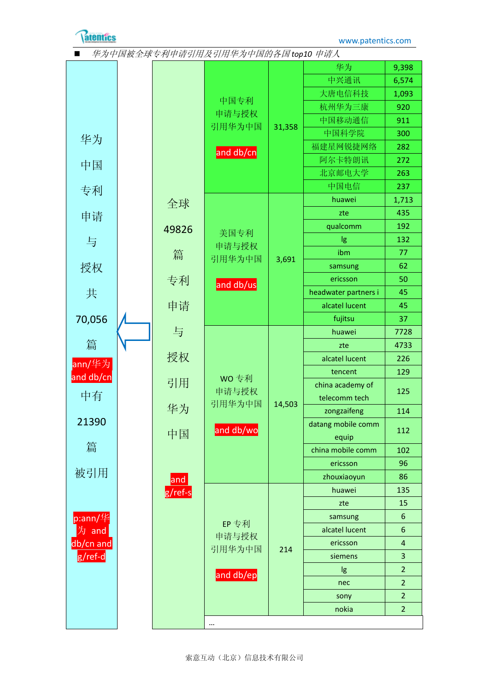

|  | 华为中国被全球专利申请引用及引用华为中国的各国 top10 申请人 |
|--|-----------------------------------|
|--|-----------------------------------|

|                                           |  |         |               |        | 华为                        | 9,398                              |
|-------------------------------------------|--|---------|---------------|--------|---------------------------|------------------------------------|
|                                           |  |         |               |        | 中兴通讯                      | 6,574                              |
|                                           |  |         |               |        | 大唐电信科技                    | 1,093                              |
|                                           |  |         | 中国专利<br>申请与授权 |        | 杭州华为三康                    | 920                                |
|                                           |  |         |               |        | 中国移动通信                    | 911                                |
| 华为                                        |  |         | 引用华为中国        | 31,358 | 中国科学院                     | 300                                |
|                                           |  |         | and db/cn     |        | 福建星网锐捷网络                  | 282                                |
| 中国                                        |  |         |               |        | 阿尔卡特朗讯                    | 272                                |
|                                           |  |         |               |        | 北京邮电大学                    | 263                                |
| 专利                                        |  |         |               |        | 中国电信                      | 237                                |
|                                           |  | 全球      |               |        | huawei                    | 1,713                              |
| 申请                                        |  |         |               |        | zte                       | 435                                |
|                                           |  | 49826   |               |        | qualcomm                  | 192                                |
| 与                                         |  |         | 美国专利<br>申请与授权 |        | lg                        | 132                                |
|                                           |  | 篇       | 引用华为中国        | 3,691  | ibm                       | 77                                 |
| 授权                                        |  |         |               |        | samsung                   | 62                                 |
|                                           |  | 专利      | and db/us     |        | ericsson                  | 50                                 |
| 共                                         |  |         |               |        | headwater partners i      | 45                                 |
|                                           |  | 申请      |               |        | alcatel lucent            | 45                                 |
| 70,056                                    |  |         |               |        | fujitsu                   | 37                                 |
|                                           |  | 与       |               |        | huawei                    | 7728                               |
| 篇                                         |  |         |               |        | zte                       | 4733                               |
| ann/华为                                    |  | 授权      |               |        | alcatel lucent            | 226                                |
| and db/cn                                 |  |         | WO 专利         |        | tencent                   | 129                                |
|                                           |  | 引用      | 申请与授权         |        | china academy of          | 125                                |
| 中有                                        |  |         | 引用华为中国        | 14,503 | telecomm tech             |                                    |
| 21390                                     |  | 华为      |               |        | zongzaifeng               | 114                                |
|                                           |  | 中国      | and db/wo     |        | datang mobile comm        | 112                                |
| 篇                                         |  |         |               |        | equip                     |                                    |
|                                           |  |         |               |        | china mobile comm         | 102                                |
| 被引用                                       |  |         |               |        | ericsson                  | 96                                 |
|                                           |  | and     |               |        | zhouxiaoyun               | 86                                 |
|                                           |  | g/ref-s |               | 214    | huawei                    | 135                                |
| $p:ann/\nmid \nmid$<br>为 and<br>db/cn and |  |         |               |        | zte                       | 15                                 |
|                                           |  |         | EP 专利         |        | samsung<br>alcatel lucent | $6\,$                              |
|                                           |  |         | 申请与授权         |        |                           | $\boldsymbol{6}$<br>$\overline{4}$ |
|                                           |  |         | 引用华为中国        |        | ericsson<br>siemens       | 3                                  |
| g/ref-d                                   |  |         |               |        |                           | $\overline{2}$                     |
|                                           |  |         | and db/ep     |        | lg                        | $\overline{2}$                     |
|                                           |  |         |               |        | nec                       | $\overline{2}$                     |
|                                           |  |         |               |        | sony<br>nokia             | $\overline{2}$                     |
|                                           |  |         |               |        |                           |                                    |
|                                           |  |         |               |        |                           |                                    |